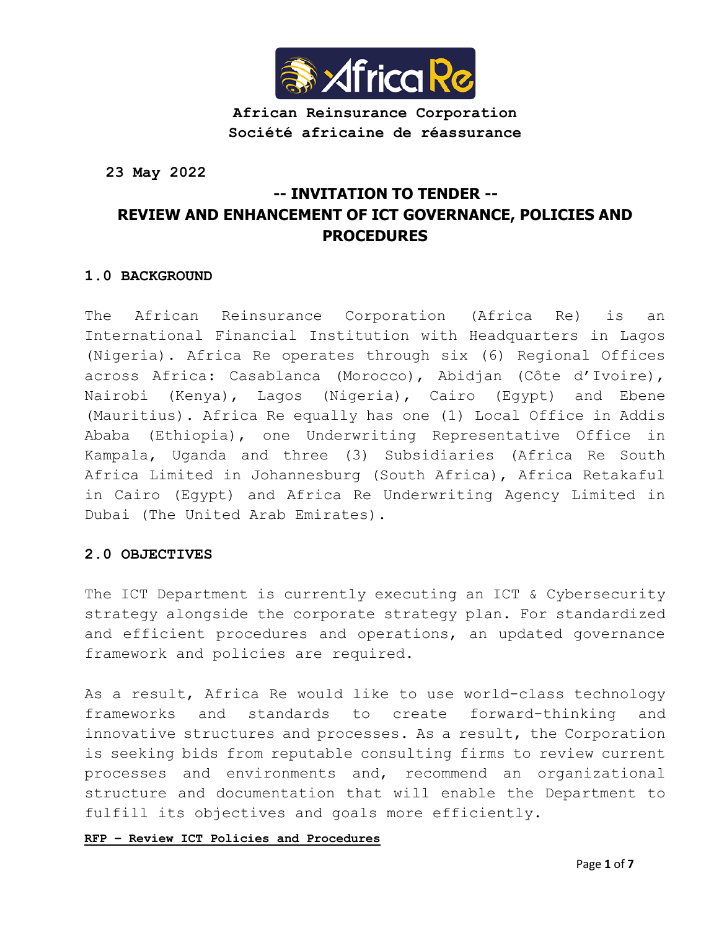

**African Reinsurance Corporation Société africaine de réassurance**

**23 May 2022**

# **-- INVITATION TO TENDER -- REVIEW AND ENHANCEMENT OF ICT GOVERNANCE, POLICIES AND PROCEDURES**

# **1.0 BACKGROUND**

The African Reinsurance Corporation (Africa Re) is an International Financial Institution with Headquarters in Lagos (Nigeria). Africa Re operates through six (6) Regional Offices across Africa: Casablanca (Morocco), Abidjan (Côte d'Ivoire), Nairobi (Kenya), Lagos (Nigeria), Cairo (Egypt) and Ebene (Mauritius). Africa Re equally has one (1) Local Office in Addis Ababa (Ethiopia), one Underwriting Representative Office in Kampala, Uganda and three (3) Subsidiaries (Africa Re South Africa Limited in Johannesburg (South Africa), Africa Retakaful in Cairo (Egypt) and Africa Re Underwriting Agency Limited in Dubai (The United Arab Emirates).

## **2.0 OBJECTIVES**

The ICT Department is currently executing an ICT & Cybersecurity strategy alongside the corporate strategy plan. For standardized and efficient procedures and operations, an updated governance framework and policies are required.

As a result, Africa Re would like to use world-class technology frameworks and standards to create forward-thinking and innovative structures and processes. As a result, the Corporation is seeking bids from reputable consulting firms to review current processes and environments and, recommend an organizational structure and documentation that will enable the Department to fulfill its objectives and goals more efficiently.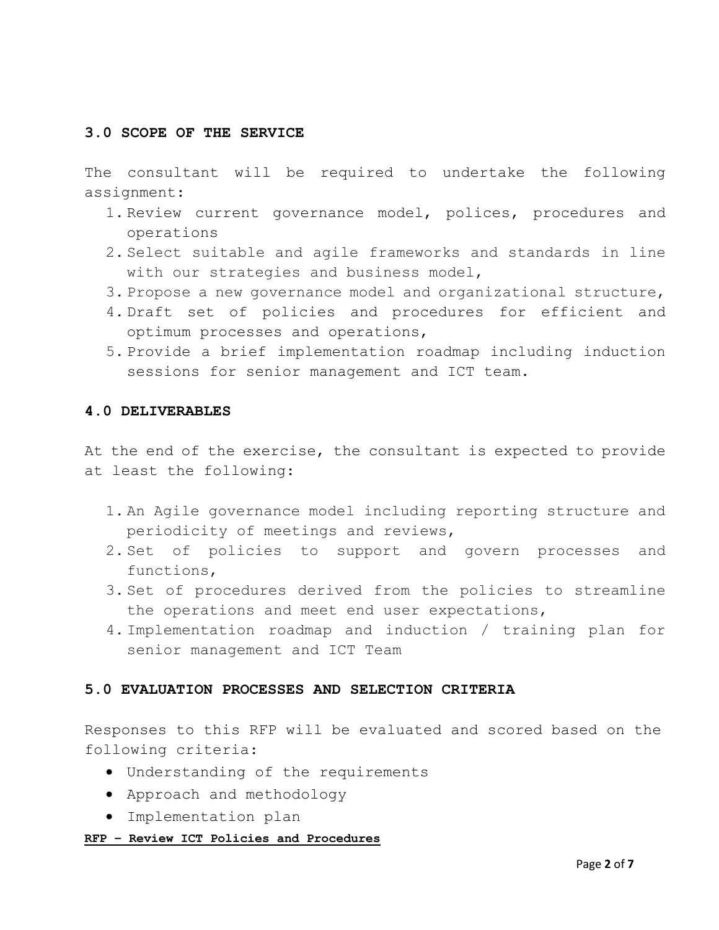# **3.0 SCOPE OF THE SERVICE**

The consultant will be required to undertake the following assignment:

- 1. Review current governance model, polices, procedures and operations
- 2. Select suitable and agile frameworks and standards in line with our strategies and business model,
- 3. Propose a new governance model and organizational structure,
- 4. Draft set of policies and procedures for efficient and optimum processes and operations,
- 5. Provide a brief implementation roadmap including induction sessions for senior management and ICT team.

#### **4.0 DELIVERABLES**

At the end of the exercise, the consultant is expected to provide at least the following:

- 1. An Agile governance model including reporting structure and periodicity of meetings and reviews,
- 2. Set of policies to support and govern processes and functions,
- 3. Set of procedures derived from the policies to streamline the operations and meet end user expectations,
- 4. Implementation roadmap and induction / training plan for senior management and ICT Team

## **5.0 EVALUATION PROCESSES AND SELECTION CRITERIA**

Responses to this RFP will be evaluated and scored based on the following criteria:

- Understanding of the requirements
- Approach and methodology
- Implementation plan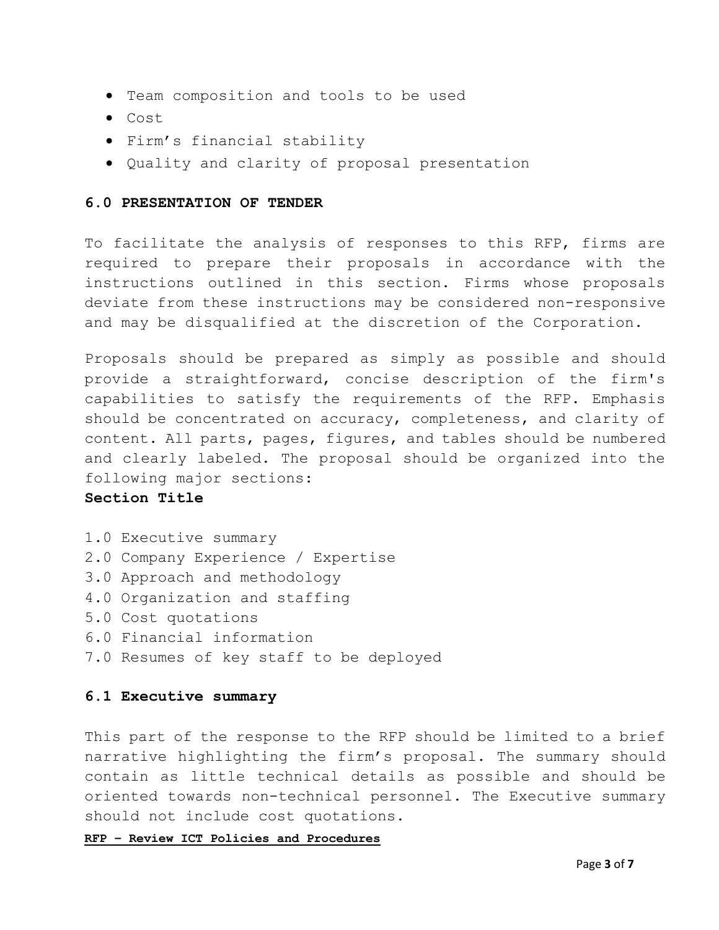- Team composition and tools to be used
- Cost
- Firm's financial stability
- Quality and clarity of proposal presentation

#### **6.0 PRESENTATION OF TENDER**

To facilitate the analysis of responses to this RFP, firms are required to prepare their proposals in accordance with the instructions outlined in this section. Firms whose proposals deviate from these instructions may be considered non-responsive and may be disqualified at the discretion of the Corporation.

Proposals should be prepared as simply as possible and should provide a straightforward, concise description of the firm's capabilities to satisfy the requirements of the RFP. Emphasis should be concentrated on accuracy, completeness, and clarity of content. All parts, pages, figures, and tables should be numbered and clearly labeled. The proposal should be organized into the following major sections:

# **Section Title**

- 1.0 Executive summary
- 2.0 Company Experience / Expertise
- 3.0 Approach and methodology
- 4.0 Organization and staffing
- 5.0 Cost quotations
- 6.0 Financial information
- 7.0 Resumes of key staff to be deployed

## **6.1 Executive summary**

This part of the response to the RFP should be limited to a brief narrative highlighting the firm's proposal. The summary should contain as little technical details as possible and should be oriented towards non-technical personnel. The Executive summary should not include cost quotations.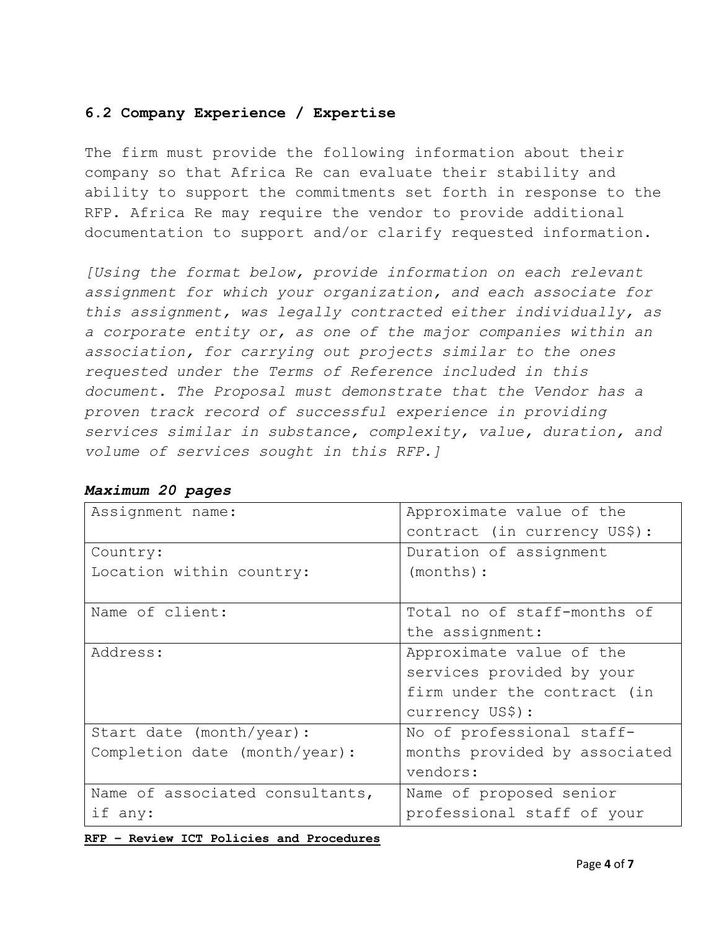# **6.2 Company Experience / Expertise**

The firm must provide the following information about their company so that Africa Re can evaluate their stability and ability to support the commitments set forth in response to the RFP. Africa Re may require the vendor to provide additional documentation to support and/or clarify requested information.

*[Using the format below, provide information on each relevant assignment for which your organization, and each associate for this assignment, was legally contracted either individually, as a corporate entity or, as one of the major companies within an association, for carrying out projects similar to the ones requested under the Terms of Reference included in this document. The Proposal must demonstrate that the Vendor has a proven track record of successful experience in providing services similar in substance, complexity, value, duration, and volume of services sought in this RFP.]*

| Assignment name:                | Approximate value of the      |  |  |
|---------------------------------|-------------------------------|--|--|
|                                 | contract (in currency US\$):  |  |  |
| Country:                        | Duration of assignment        |  |  |
| Location within country:        | $(months)$ :                  |  |  |
|                                 |                               |  |  |
| Name of client:                 | Total no of staff-months of   |  |  |
|                                 | the assignment:               |  |  |
| Address:                        | Approximate value of the      |  |  |
|                                 | services provided by your     |  |  |
|                                 | firm under the contract (in   |  |  |
|                                 | currency US\$):               |  |  |
| Start date (month/year) :       | No of professional staff-     |  |  |
| Completion date (month/year):   | months provided by associated |  |  |
|                                 | vendors:                      |  |  |
| Name of associated consultants, | Name of proposed senior       |  |  |
| if any:                         | professional staff of your    |  |  |

*Maximum 20 pages*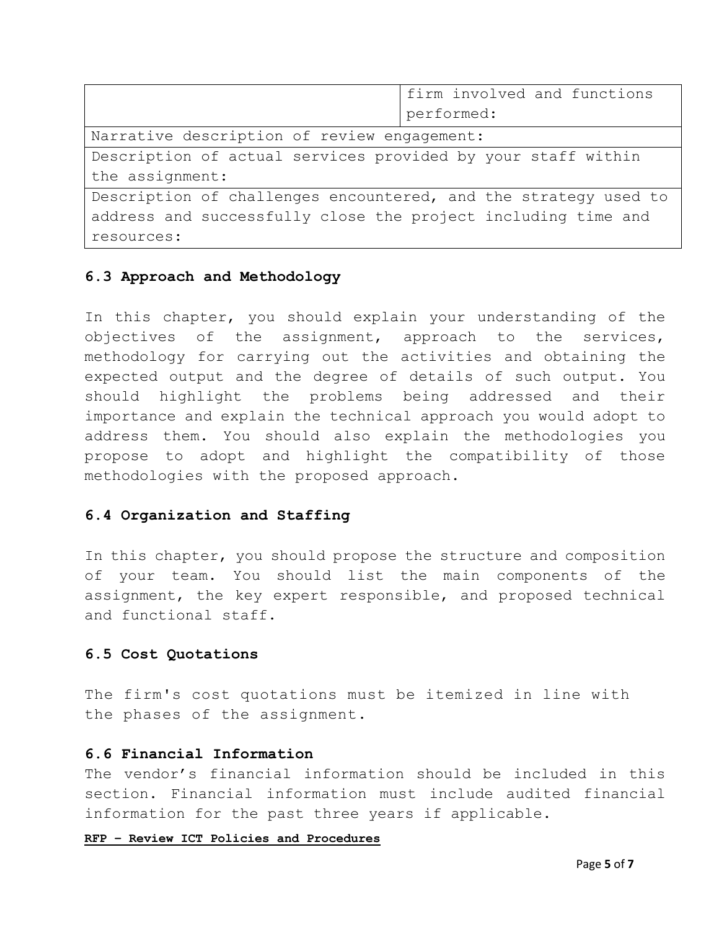|                                                                 | firm involved and functions |  |
|-----------------------------------------------------------------|-----------------------------|--|
|                                                                 | performed:                  |  |
| Narrative description of review engagement:                     |                             |  |
| Description of actual services provided by your staff within    |                             |  |
| the assignment:                                                 |                             |  |
| Description of challenges encountered, and the strategy used to |                             |  |
| address and successfully close the project including time and   |                             |  |
| resources:                                                      |                             |  |

# **6.3 Approach and Methodology**

In this chapter, you should explain your understanding of the objectives of the assignment, approach to the services, methodology for carrying out the activities and obtaining the expected output and the degree of details of such output. You should highlight the problems being addressed and their importance and explain the technical approach you would adopt to address them. You should also explain the methodologies you propose to adopt and highlight the compatibility of those methodologies with the proposed approach.

## **6.4 Organization and Staffing**

In this chapter, you should propose the structure and composition of your team. You should list the main components of the assignment, the key expert responsible, and proposed technical and functional staff.

## **6.5 Cost Quotations**

The firm's cost quotations must be itemized in line with the phases of the assignment.

#### **6.6 Financial Information**

The vendor's financial information should be included in this section. Financial information must include audited financial information for the past three years if applicable.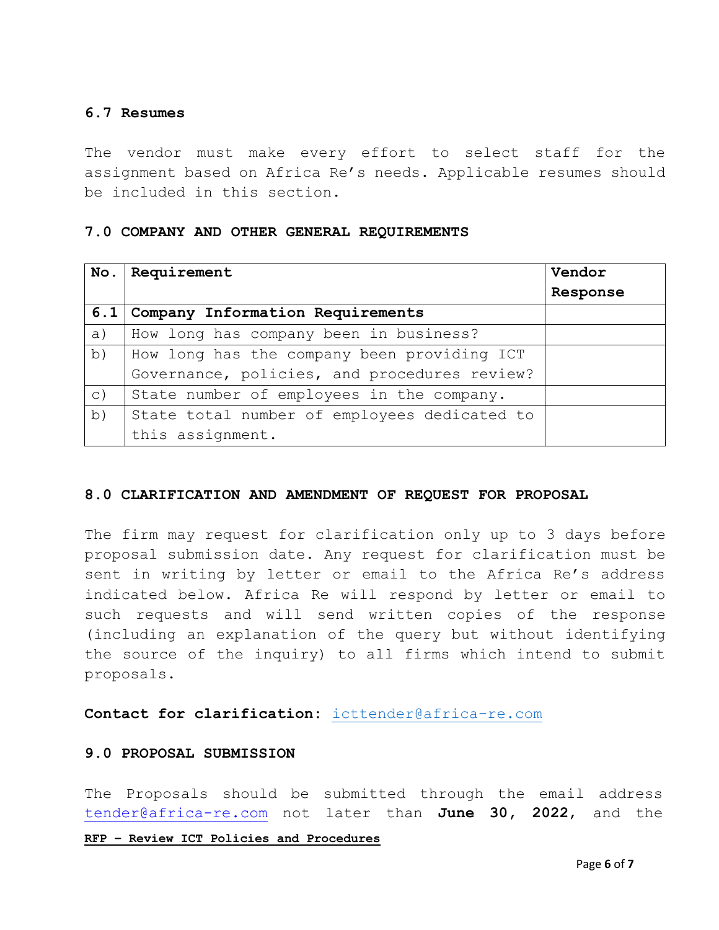# **6.7 Resumes**

The vendor must make every effort to select staff for the assignment based on Africa Re's needs. Applicable resumes should be included in this section.

#### **7.0 COMPANY AND OTHER GENERAL REQUIREMENTS**

| No.       | Requirement                                  | Vendor   |
|-----------|----------------------------------------------|----------|
|           |                                              | Response |
|           | 6.1 Company Information Requirements         |          |
| a)        | How long has company been in business?       |          |
| b)        | How long has the company been providing ICT  |          |
|           | Governance, policies, and procedures review? |          |
| $\circ$ ) | State number of employees in the company.    |          |
| b)        | State total number of employees dedicated to |          |
|           | this assignment.                             |          |

## **8.0 CLARIFICATION AND AMENDMENT OF REQUEST FOR PROPOSAL**

The firm may request for clarification only up to 3 days before proposal submission date. Any request for clarification must be sent in writing by letter or email to the Africa Re's address indicated below. Africa Re will respond by letter or email to such requests and will send written copies of the response (including an explanation of the query but without identifying the source of the inquiry) to all firms which intend to submit proposals.

**Contact for clarification:** [icttender@africa-re.com](mailto:icttender@africa-re.com)

## **9.0 PROPOSAL SUBMISSION**

The Proposals should be submitted through the email address tender@africa-re.com not later than **June 30, 2022**, and the